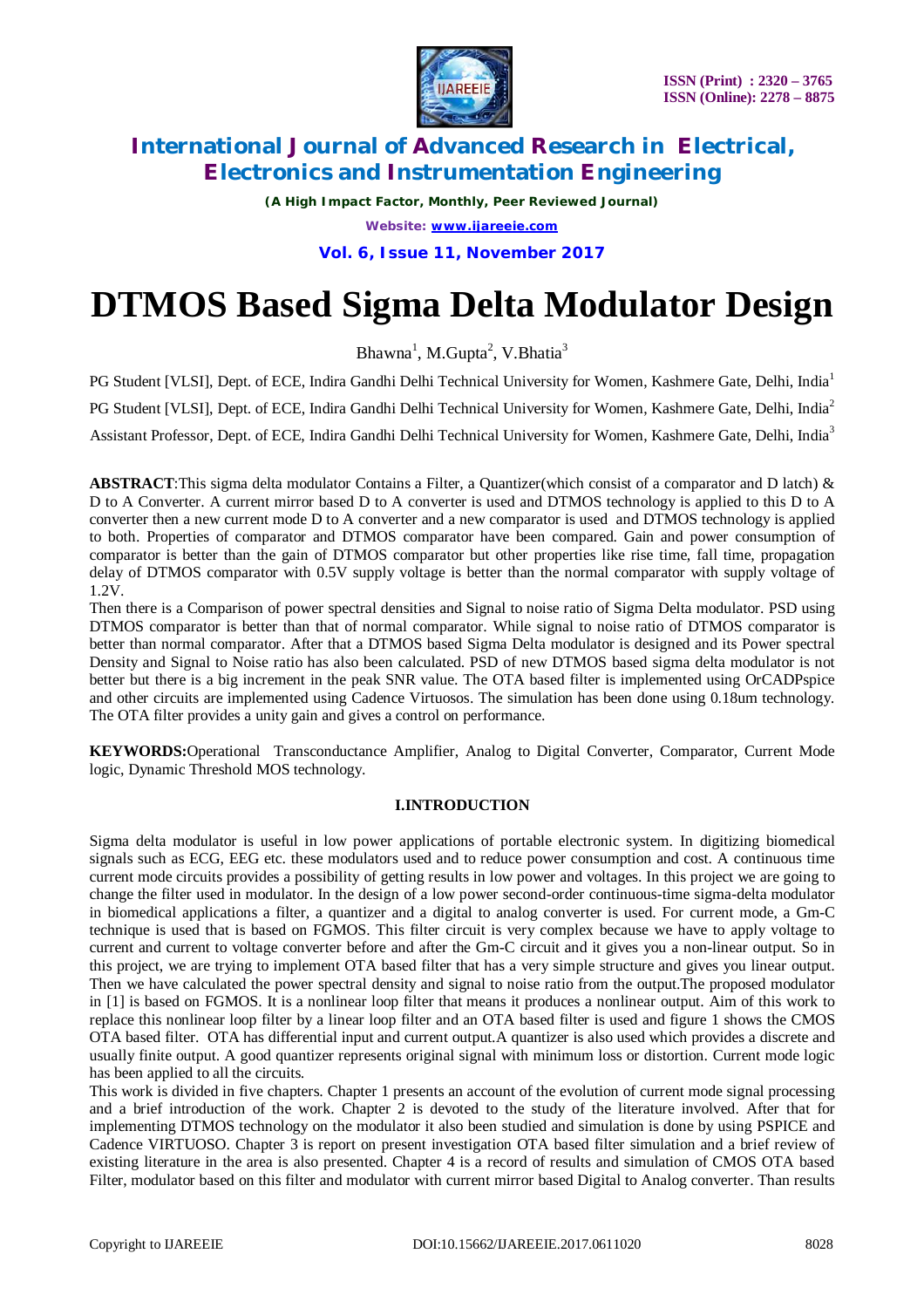

*(A High Impact Factor, Monthly, Peer Reviewed Journal) Website: [www.ijareeie.com](http://www.ijareeie.com)*

**Vol. 6, Issue 11, November 2017**

# **DTMOS Based Sigma Delta Modulator Design**

Bhawna<sup>1</sup>, M.Gupta<sup>2</sup>, V.Bhatia<sup>3</sup>

PG Student [VLSI], Dept. of ECE, Indira Gandhi Delhi Technical University for Women, Kashmere Gate, Delhi, India<sup>1</sup> PG Student [VLSI], Dept. of ECE, Indira Gandhi Delhi Technical University for Women, Kashmere Gate, Delhi, India<sup>2</sup> Assistant Professor, Dept. of ECE, Indira Gandhi Delhi Technical University for Women, Kashmere Gate, Delhi, India<sup>3</sup>

**ABSTRACT**:This sigma delta modulator Contains a Filter, a Quantizer(which consist of a comparator and D latch) & D to A Converter. A current mirror based D to A converter is used and DTMOS technology is applied to this D to A converter then a new current mode D to A converter and a new comparator is used and DTMOS technology is applied to both. Properties of comparator and DTMOS comparator have been compared. Gain and power consumption of comparator is better than the gain of DTMOS comparator but other properties like rise time, fall time, propagation delay of DTMOS comparator with 0.5V supply voltage is better than the normal comparator with supply voltage of 1.2V.

Then there is a Comparison of power spectral densities and Signal to noise ratio of Sigma Delta modulator. PSD using DTMOS comparator is better than that of normal comparator. While signal to noise ratio of DTMOS comparator is better than normal comparator. After that a DTMOS based Sigma Delta modulator is designed and its Power spectral Density and Signal to Noise ratio has also been calculated. PSD of new DTMOS based sigma delta modulator is not better but there is a big increment in the peak SNR value. The OTA based filter is implemented using OrCADPspice and other circuits are implemented using Cadence Virtuosos. The simulation has been done using 0.18um technology. The OTA filter provides a unity gain and gives a control on performance.

**KEYWORDS:**Operational Transconductance Amplifier, Analog to Digital Converter, Comparator, Current Mode logic, Dynamic Threshold MOS technology.

### **I.INTRODUCTION**

Sigma delta modulator is useful in low power applications of portable electronic system. In digitizing biomedical signals such as ECG, EEG etc. these modulators used and to reduce power consumption and cost. A continuous time current mode circuits provides a possibility of getting results in low power and voltages. In this project we are going to change the filter used in modulator. In the design of a low power second-order continuous-time sigma-delta modulator in biomedical applications a filter, a quantizer and a digital to analog converter is used. For current mode, a Gm-C technique is used that is based on FGMOS. This filter circuit is very complex because we have to apply voltage to current and current to voltage converter before and after the Gm-C circuit and it gives you a non-linear output. So in this project, we are trying to implement OTA based filter that has a very simple structure and gives you linear output. Then we have calculated the power spectral density and signal to noise ratio from the output.The proposed modulator in [1] is based on FGMOS. It is a nonlinear loop filter that means it produces a nonlinear output. Aim of this work to replace this nonlinear loop filter by a linear loop filter and an OTA based filter is used and figure 1 shows the CMOS OTA based filter. OTA has differential input and current output.A quantizer is also used which provides a discrete and usually finite output. A good quantizer represents original signal with minimum loss or distortion. Current mode logic has been applied to all the circuits.

This work is divided in five chapters. Chapter 1 presents an account of the evolution of current mode signal processing and a brief introduction of the work. Chapter 2 is devoted to the study of the literature involved. After that for implementing DTMOS technology on the modulator it also been studied and simulation is done by using PSPICE and Cadence VIRTUOSO. Chapter 3 is report on present investigation OTA based filter simulation and a brief review of existing literature in the area is also presented. Chapter 4 is a record of results and simulation of CMOS OTA based Filter, modulator based on this filter and modulator with current mirror based Digital to Analog converter. Than results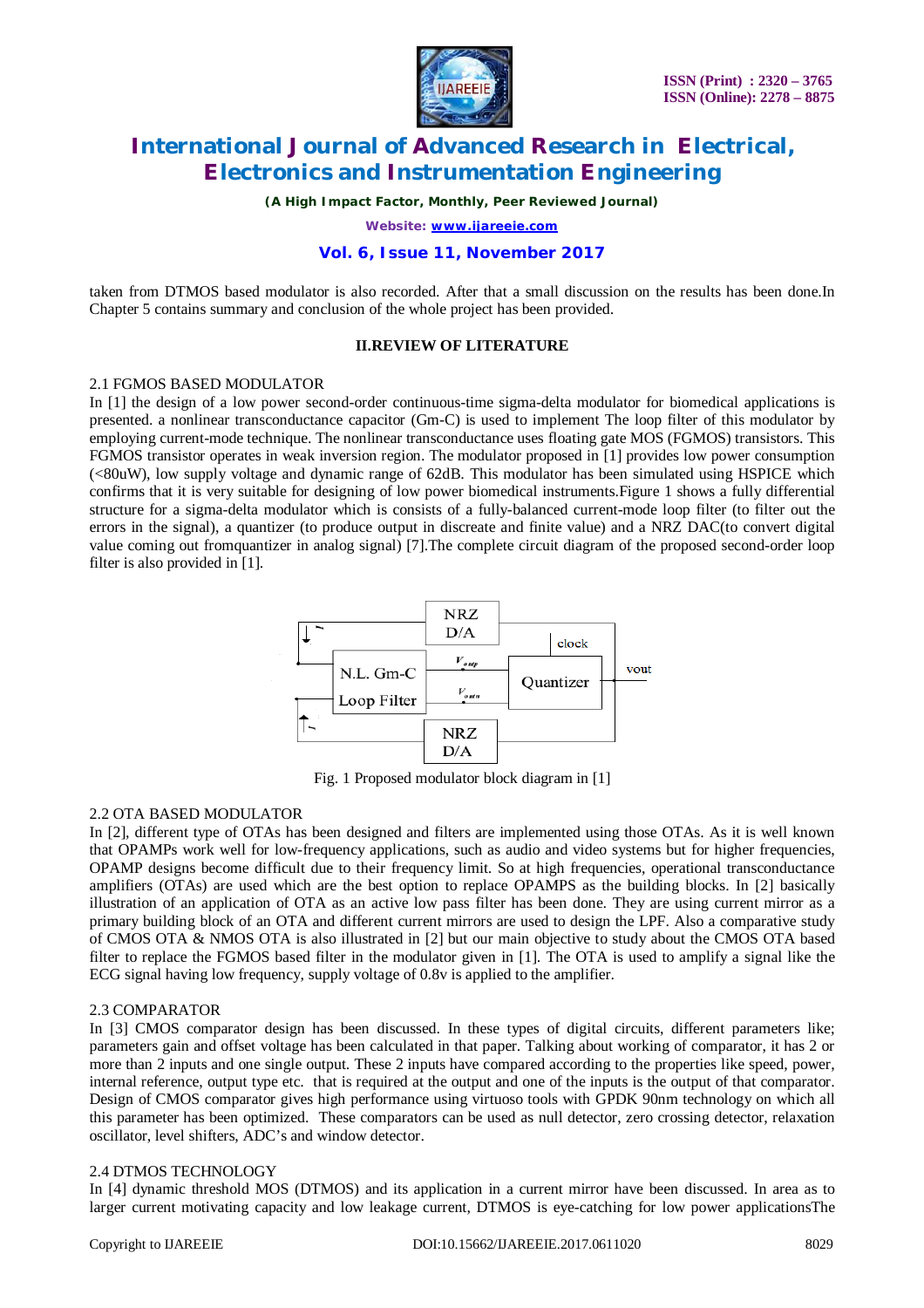

*(A High Impact Factor, Monthly, Peer Reviewed Journal)*

*Website: [www.ijareeie.com](http://www.ijareeie.com)*

#### **Vol. 6, Issue 11, November 2017**

taken from DTMOS based modulator is also recorded. After that a small discussion on the results has been done.In Chapter 5 contains summary and conclusion of the whole project has been provided.

#### **II.REVIEW OF LITERATURE**

#### 2.1 FGMOS BASED MODULATOR

In [1] the design of a low power second-order continuous-time sigma-delta modulator for biomedical applications is presented. a nonlinear transconductance capacitor (Gm-C) is used to implement The loop filter of this modulator by employing current-mode technique. The nonlinear transconductance uses floating gate MOS (FGMOS) transistors. This FGMOS transistor operates in weak inversion region. The modulator proposed in [1] provides low power consumption (<80uW), low supply voltage and dynamic range of 62dB. This modulator has been simulated using HSPICE which confirms that it is very suitable for designing of low power biomedical instruments.Figure 1 shows a fully differential structure for a sigma-delta modulator which is consists of a fully-balanced current-mode loop filter (to filter out the errors in the signal), a quantizer (to produce output in discreate and finite value) and a NRZ DAC(to convert digital value coming out fromquantizer in analog signal) [7].The complete circuit diagram of the proposed second-order loop filter is also provided in [1].



Fig. 1 Proposed modulator block diagram in [1]

#### 2.2 OTA BASED MODULATOR

In [2], different type of OTAs has been designed and filters are implemented using those OTAs. As it is well known that OPAMPs work well for low-frequency applications, such as audio and video systems but for higher frequencies, OPAMP designs become difficult due to their frequency limit. So at high frequencies, operational transconductance amplifiers (OTAs) are used which are the best option to replace OPAMPS as the building blocks. In [2] basically illustration of an application of OTA as an active low pass filter has been done. They are using current mirror as a primary building block of an OTA and different current mirrors are used to design the LPF. Also a comparative study of CMOS OTA & NMOS OTA is also illustrated in [2] but our main objective to study about the CMOS OTA based filter to replace the FGMOS based filter in the modulator given in [1]. The OTA is used to amplify a signal like the ECG signal having low frequency, supply voltage of 0.8v is applied to the amplifier.

#### 2.3 COMPARATOR

In [3] CMOS comparator design has been discussed. In these types of digital circuits, different parameters like; parameters gain and offset voltage has been calculated in that paper. Talking about working of comparator, it has 2 or more than 2 inputs and one single output. These 2 inputs have compared according to the properties like speed, power, internal reference, output type etc. that is required at the output and one of the inputs is the output of that comparator. Design of CMOS comparator gives high performance using virtuoso tools with GPDK 90nm technology on which all this parameter has been optimized. These comparators can be used as null detector, zero crossing detector, relaxation oscillator, level shifters, ADC's and window detector.

#### 2.4 DTMOS TECHNOLOGY

In [4] dynamic threshold MOS (DTMOS) and its application in a current mirror have been discussed. In area as to larger current motivating capacity and low leakage current, DTMOS is eye-catching for low power applicationsThe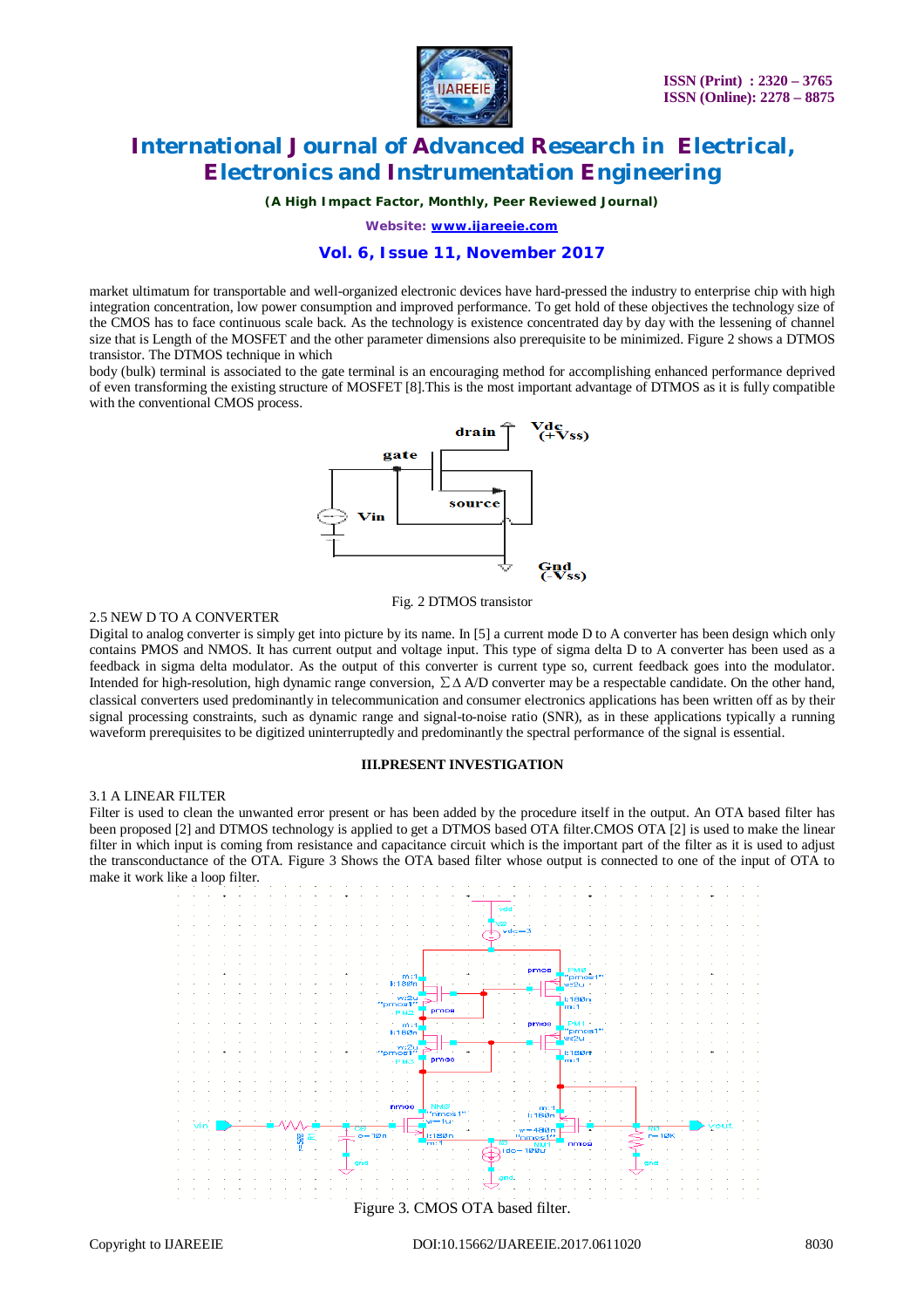

*(A High Impact Factor, Monthly, Peer Reviewed Journal)*

*Website: [www.ijareeie.com](http://www.ijareeie.com)*

#### **Vol. 6, Issue 11, November 2017**

market ultimatum for transportable and well-organized electronic devices have hard-pressed the industry to enterprise chip with high integration concentration, low power consumption and improved performance. To get hold of these objectives the technology size of the CMOS has to face continuous scale back. As the technology is existence concentrated day by day with the lessening of channel size that is Length of the MOSFET and the other parameter dimensions also prerequisite to be minimized. Figure 2 shows a DTMOS transistor. The DTMOS technique in which

body (bulk) terminal is associated to the gate terminal is an encouraging method for accomplishing enhanced performance deprived of even transforming the existing structure of MOSFET [8].This is the most important advantage of DTMOS as it is fully compatible with the conventional CMOS process.



#### Fig. 2 DTMOS transistor

#### 2.5 NEW D TO A CONVERTER

Digital to analog converter is simply get into picture by its name. In [5] a current mode D to A converter has been design which only contains PMOS and NMOS. It has current output and voltage input. This type of sigma delta D to A converter has been used as a feedback in sigma delta modulator. As the output of this converter is current type so, current feedback goes into the modulator. Intended for high-resolution, high dynamic range conversion, ∑∆ A/D converter may be a respectable candidate. On the other hand, classical converters used predominantly in telecommunication and consumer electronics applications has been written off as by their signal processing constraints, such as dynamic range and signal-to-noise ratio (SNR), as in these applications typically a running waveform prerequisites to be digitized uninterruptedly and predominantly the spectral performance of the signal is essential.

#### **III.PRESENT INVESTIGATION**

#### 3.1 A LINEAR FILTER

Filter is used to clean the unwanted error present or has been added by the procedure itself in the output. An OTA based filter has been proposed [2] and DTMOS technology is applied to get a DTMOS based OTA filter.CMOS OTA [2] is used to make the linear filter in which input is coming from resistance and capacitance circuit which is the important part of the filter as it is used to adjust the transconductance of the OTA. Figure 3 Shows the OTA based filter whose output is connected to one of the input of OTA to make it work like a loop filter.

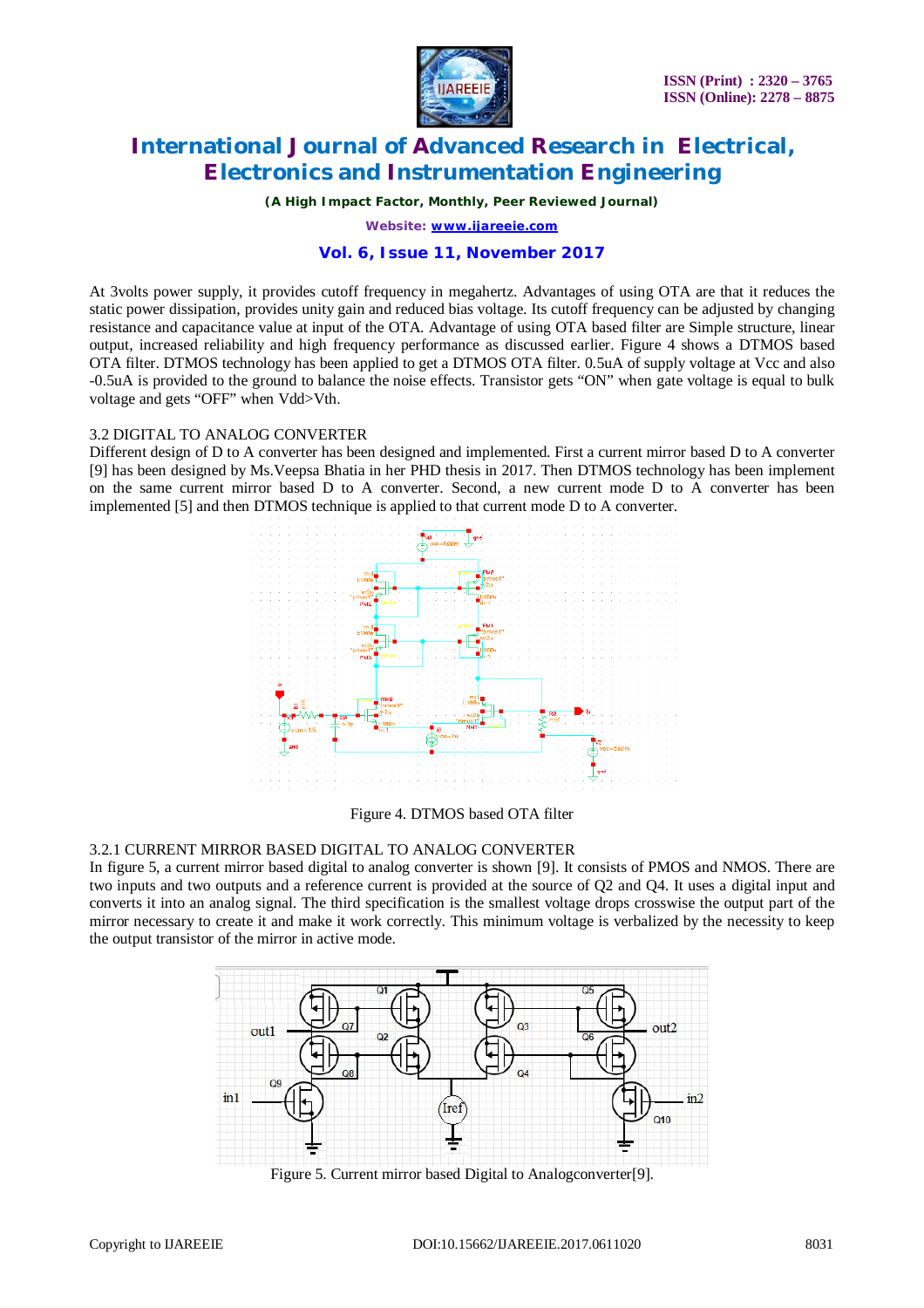

*(A High Impact Factor, Monthly, Peer Reviewed Journal)*

*Website: [www.ijareeie.com](http://www.ijareeie.com)*

#### **Vol. 6, Issue 11, November 2017**

At 3volts power supply, it provides cutoff frequency in megahertz. Advantages of using OTA are that it reduces the static power dissipation, provides unity gain and reduced bias voltage. Its cutoff frequency can be adjusted by changing resistance and capacitance value at input of the OTA. Advantage of using OTA based filter are Simple structure, linear output, increased reliability and high frequency performance as discussed earlier. Figure 4 shows a DTMOS based OTA filter. DTMOS technology has been applied to get a DTMOS OTA filter. 0.5uA of supply voltage at Vcc and also -0.5uA is provided to the ground to balance the noise effects. Transistor gets "ON" when gate voltage is equal to bulk voltage and gets "OFF" when Vdd>Vth.

#### 3.2 DIGITAL TO ANALOG CONVERTER

Different design of D to A converter has been designed and implemented. First a current mirror based D to A converter [9] has been designed by Ms.Veepsa Bhatia in her PHD thesis in 2017. Then DTMOS technology has been implement on the same current mirror based D to A converter. Second, a new current mode D to A converter has been implemented [5] and then DTMOS technique is applied to that current mode D to A converter.



Figure 4. DTMOS based OTA filter

#### 3.2.1 CURRENT MIRROR BASED DIGITAL TO ANALOG CONVERTER

In figure 5, a current mirror based digital to analog converter is shown [9]. It consists of PMOS and NMOS. There are two inputs and two outputs and a reference current is provided at the source of Q2 and Q4. It uses a digital input and converts it into an analog signal. The third specification is the smallest voltage drops crosswise the output part of the mirror necessary to create it and make it work correctly. This minimum voltage is verbalized by the necessity to keep the output transistor of the mirror in active mode.



Figure 5. Current mirror based Digital to Analogconverter[9].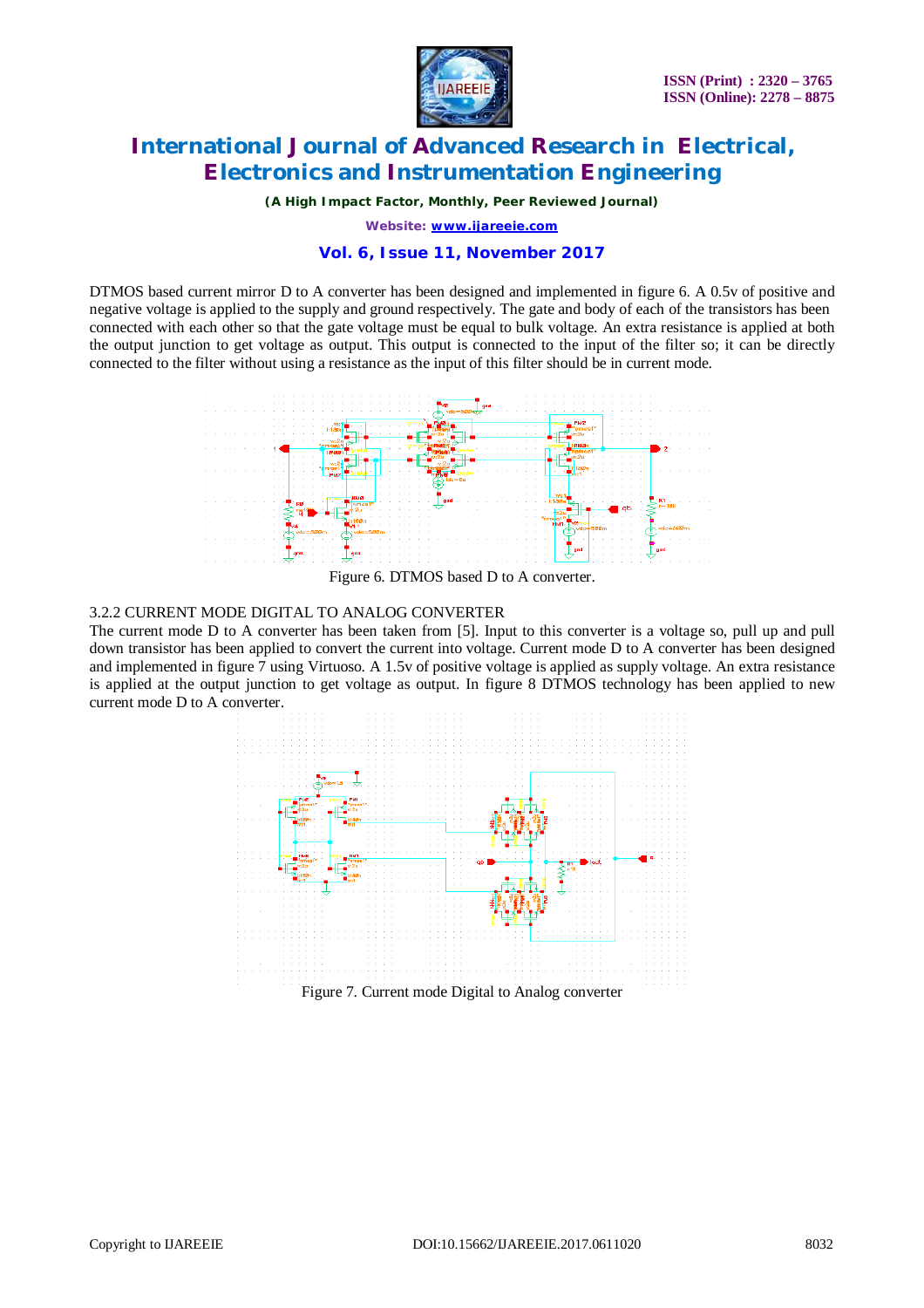

*(A High Impact Factor, Monthly, Peer Reviewed Journal)*

*Website: [www.ijareeie.com](http://www.ijareeie.com)*

#### **Vol. 6, Issue 11, November 2017**

DTMOS based current mirror D to A converter has been designed and implemented in figure 6. A 0.5v of positive and negative voltage is applied to the supply and ground respectively. The gate and body of each of the transistors has been connected with each other so that the gate voltage must be equal to bulk voltage. An extra resistance is applied at both the output junction to get voltage as output. This output is connected to the input of the filter so; it can be directly connected to the filter without using a resistance as the input of this filter should be in current mode.



Figure 6. DTMOS based D to A converter.

#### 3.2.2 CURRENT MODE DIGITAL TO ANALOG CONVERTER

The current mode D to A converter has been taken from [5]. Input to this converter is a voltage so, pull up and pull down transistor has been applied to convert the current into voltage. Current mode D to A converter has been designed and implemented in figure 7 using Virtuoso. A 1.5v of positive voltage is applied as supply voltage. An extra resistance is applied at the output junction to get voltage as output. In figure 8 DTMOS technology has been applied to new current mode D to A converter.

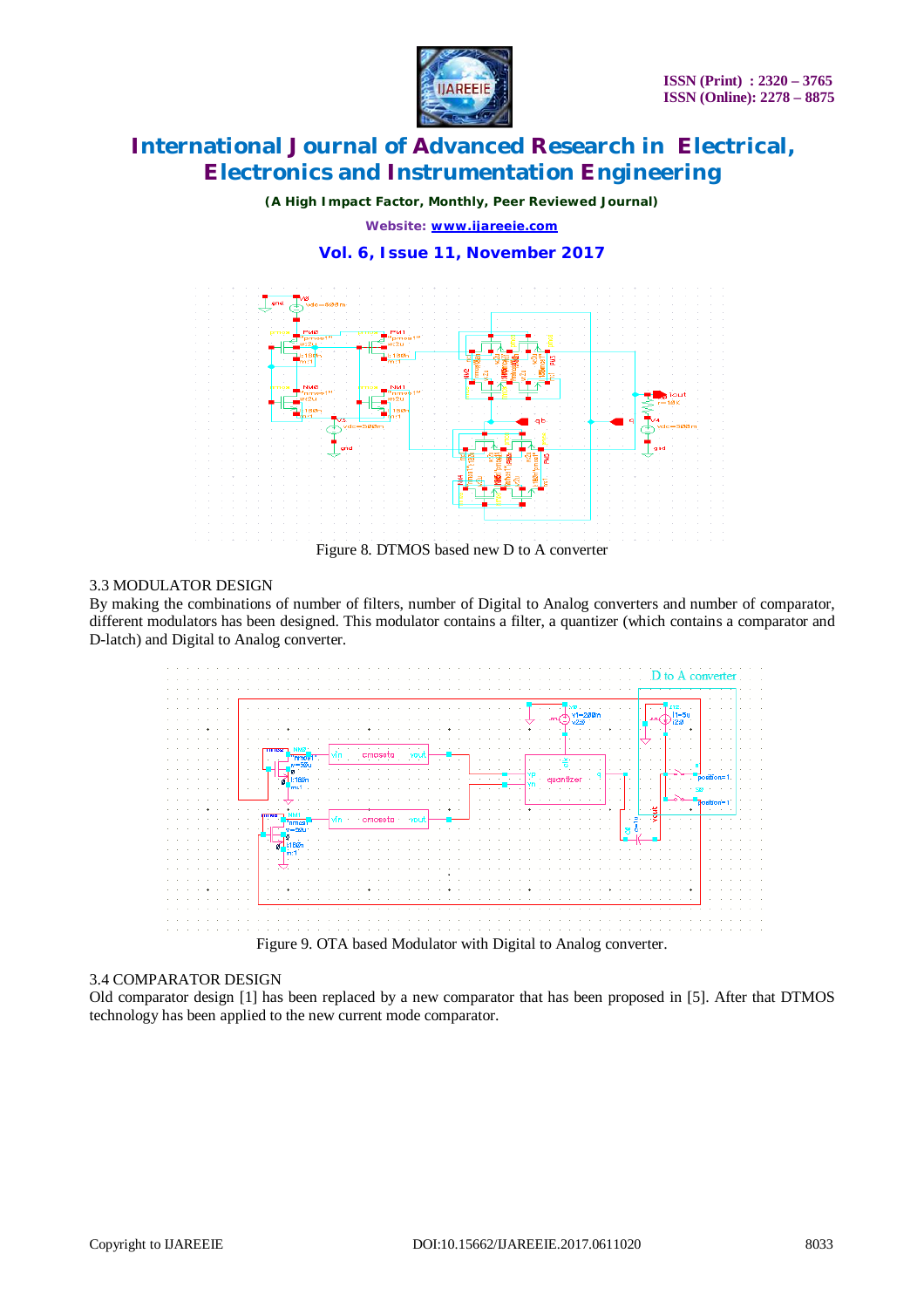

*(A High Impact Factor, Monthly, Peer Reviewed Journal)*

*Website: [www.ijareeie.com](http://www.ijareeie.com)*

**Vol. 6, Issue 11, November 2017**



### 3.3 MODULATOR DESIGN

By making the combinations of number of filters, number of Digital to Analog converters and number of comparator, different modulators has been designed. This modulator contains a filter, a quantizer (which contains a comparator and D-latch) and Digital to Analog converter.



#### 3.4 COMPARATOR DESIGN

Old comparator design [1] has been replaced by a new comparator that has been proposed in [5]. After that DTMOS technology has been applied to the new current mode comparator.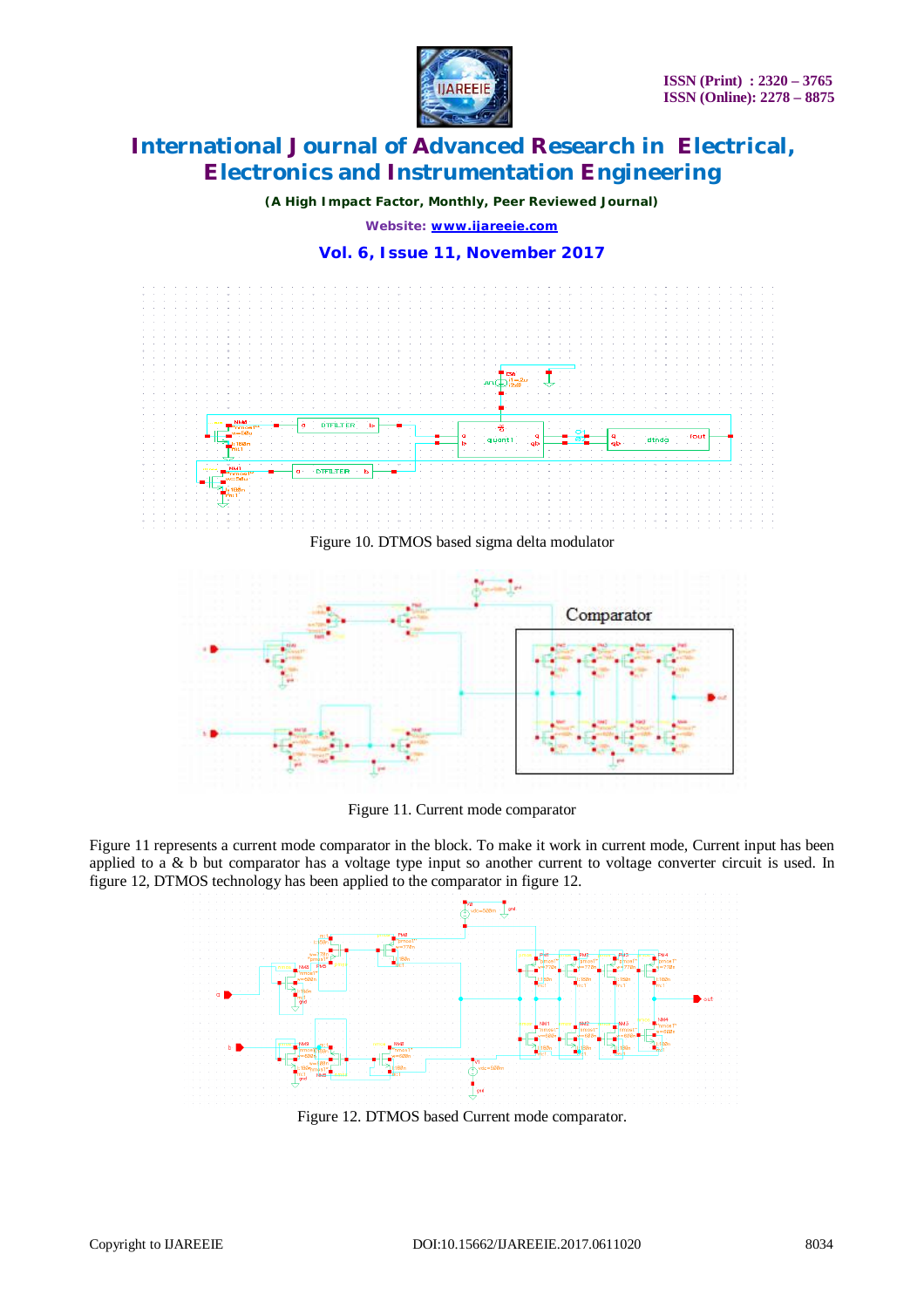

*(A High Impact Factor, Monthly, Peer Reviewed Journal)*

*Website: [www.ijareeie.com](http://www.ijareeie.com)*

**Vol. 6, Issue 11, November 2017**



Figure 11. Current mode comparator

Figure 11 represents a current mode comparator in the block. To make it work in current mode, Current input has been applied to a & b but comparator has a voltage type input so another current to voltage converter circuit is used. In figure 12, DTMOS technology has been applied to the comparator in figure 12.



Figure 12. DTMOS based Current mode comparator.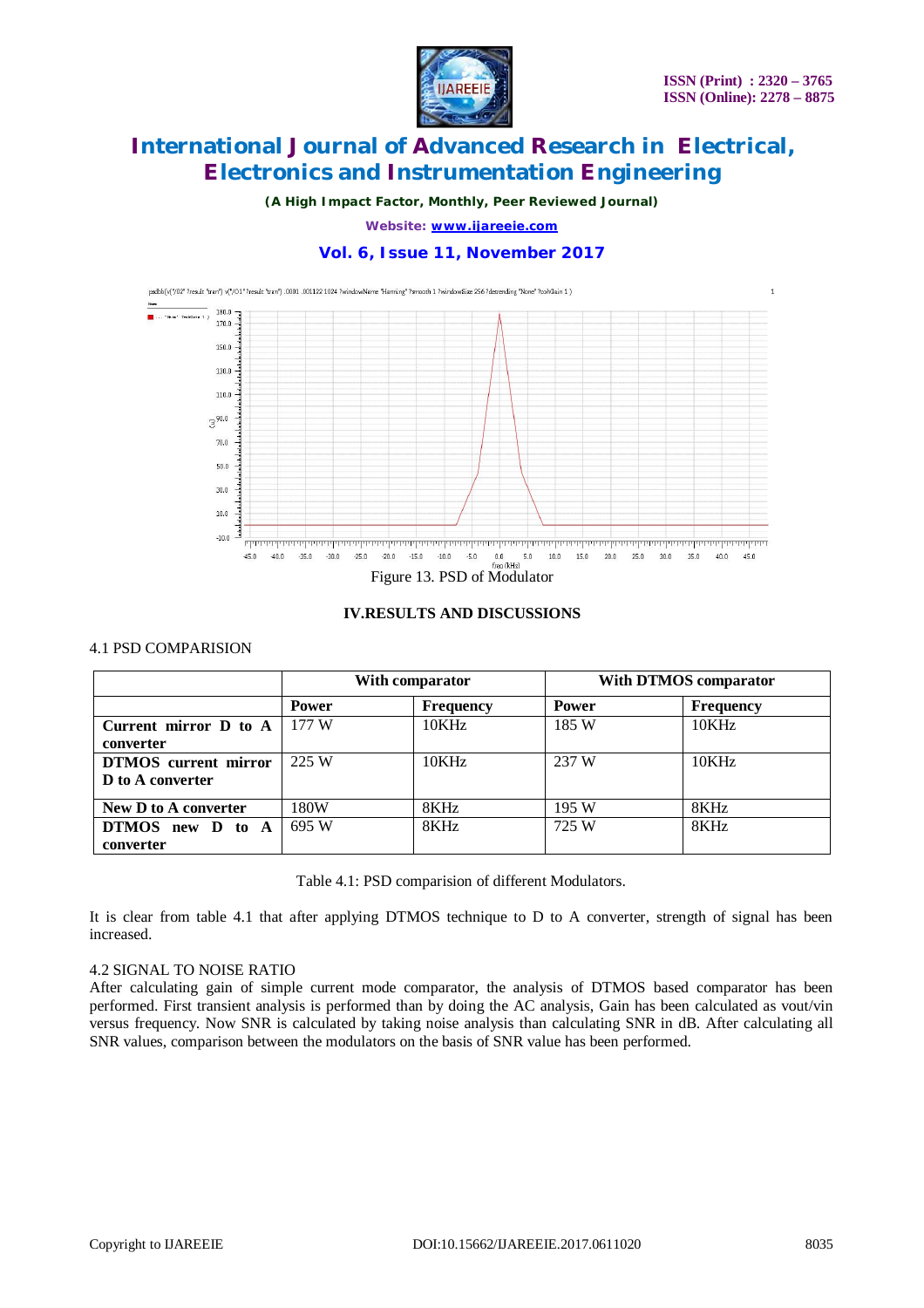

*(A High Impact Factor, Monthly, Peer Reviewed Journal)*

*Website: [www.ijareeie.com](http://www.ijareeie.com)*

### **Vol. 6, Issue 11, November 2017**



### **IV.RESULTS AND DISCUSSIONS**

#### 4.1 PSD COMPARISION

|                                                          | With comparator |                  | With DTMOS comparator |           |
|----------------------------------------------------------|-----------------|------------------|-----------------------|-----------|
|                                                          | Power           | <b>Frequency</b> | <b>Power</b>          | Frequency |
| Current mirror $\bf{D}$ to $\bf{A}$   177 W<br>converter |                 | 10KHz            | 185 W                 | 10KHz     |
| DTMOS current mirror<br>D to A converter                 | 225 W           | 10KHz            | 237 W                 | 10KHz     |
| New D to A converter                                     | 180W            | 8KHz             | 195W                  | 8KHz      |
| DTMOS new D to A<br>converter                            | 695 W           | 8KHz             | 725 W                 | 8KHz      |

Table 4.1: PSD comparision of different Modulators.

It is clear from table 4.1 that after applying DTMOS technique to D to A converter, strength of signal has been increased.

### 4.2 SIGNAL TO NOISE RATIO

After calculating gain of simple current mode comparator, the analysis of DTMOS based comparator has been performed. First transient analysis is performed than by doing the AC analysis, Gain has been calculated as vout/vin versus frequency. Now SNR is calculated by taking noise analysis than calculating SNR in dB. After calculating all SNR values, comparison between the modulators on the basis of SNR value has been performed.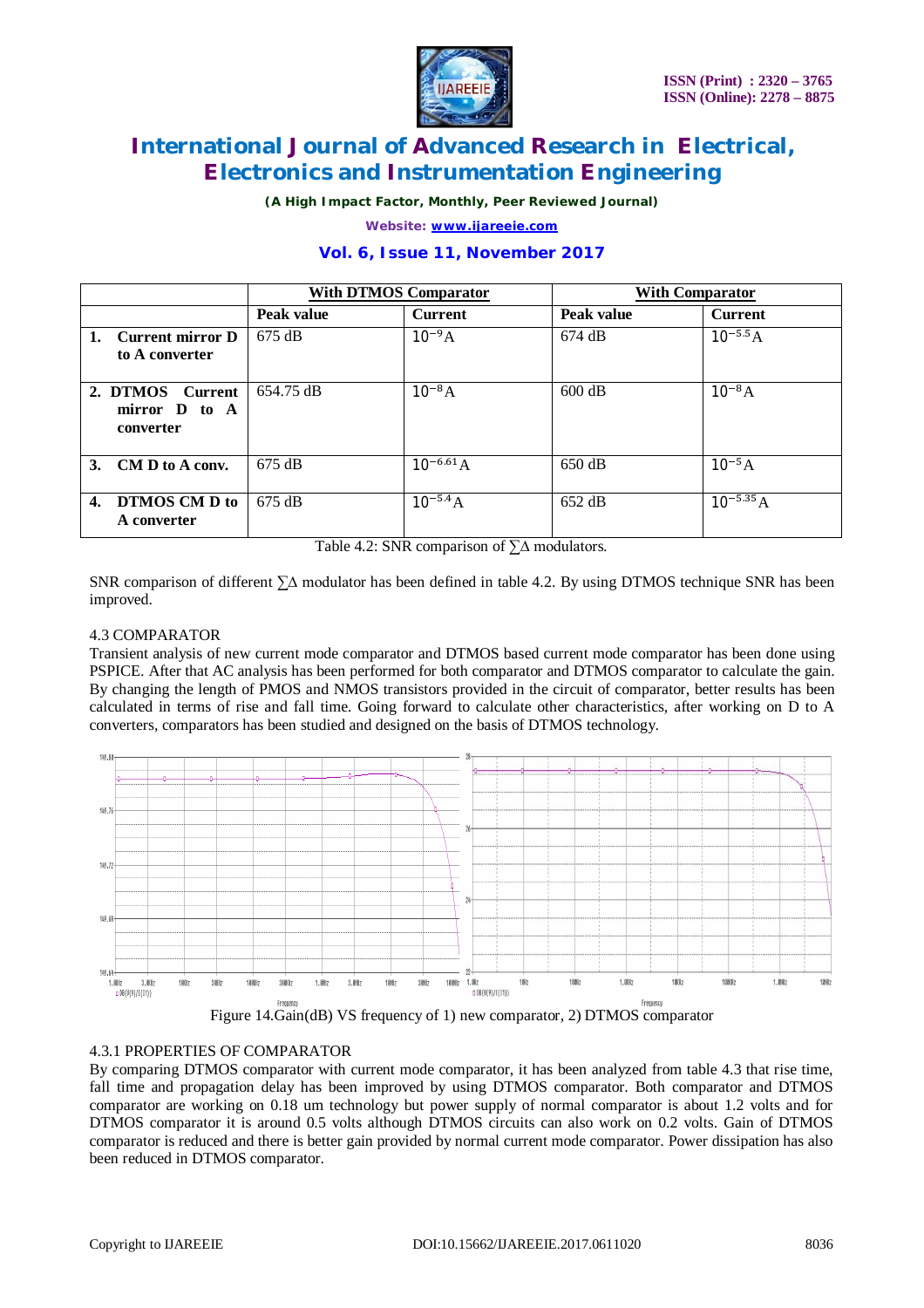

*(A High Impact Factor, Monthly, Peer Reviewed Journal)*

*Website: [www.ijareeie.com](http://www.ijareeie.com)*

### **Vol. 6, Issue 11, November 2017**

|                                                          | <b>With DTMOS Comparator</b> |                | <b>With Comparator</b> |                |
|----------------------------------------------------------|------------------------------|----------------|------------------------|----------------|
|                                                          | Peak value                   | <b>Current</b> | Peak value             | <b>Current</b> |
| 1. Current mirror D<br>to A converter                    | $675 \text{ dB}$             | $10^{-9}A$     | $674 \text{ dB}$       | $10^{-5.5} A$  |
| 2. DTMOS<br><b>Current</b><br>mirror D to A<br>converter | 654.75 dB                    | $10^{-8}A$     | $600 \text{ dB}$       | $10^{-8}A$     |
| 3. CM D to A conv.                                       | $675 \text{ dB}$             | $10^{-6.61}$ A | 650 dB                 | $10^{-5}A$     |
| <b>DTMOS CM D to</b><br>4.<br>A converter                | $675 \text{ dB}$             | $10^{-5.4} A$  | $652 \text{ dB}$       | $10^{-5.35} A$ |

Table 4.2: SNR comparison of ∑∆ modulators.

SNR comparison of different ∑∆ modulator has been defined in table 4.2. By using DTMOS technique SNR has been improved.

#### 4.3 COMPARATOR

Transient analysis of new current mode comparator and DTMOS based current mode comparator has been done using PSPICE. After that AC analysis has been performed for both comparator and DTMOS comparator to calculate the gain. By changing the length of PMOS and NMOS transistors provided in the circuit of comparator, better results has been calculated in terms of rise and fall time. Going forward to calculate other characteristics, after working on D to A converters, comparators has been studied and designed on the basis of DTMOS technology.



Figure 14.Gain(dB) VS frequency of 1) new comparator, 2) DTMOS comparator

#### 4.3.1 PROPERTIES OF COMPARATOR

By comparing DTMOS comparator with current mode comparator, it has been analyzed from table 4.3 that rise time, fall time and propagation delay has been improved by using DTMOS comparator. Both comparator and DTMOS comparator are working on 0.18 um technology but power supply of normal comparator is about 1.2 volts and for DTMOS comparator it is around 0.5 volts although DTMOS circuits can also work on 0.2 volts. Gain of DTMOS comparator is reduced and there is better gain provided by normal current mode comparator. Power dissipation has also been reduced in DTMOS comparator.